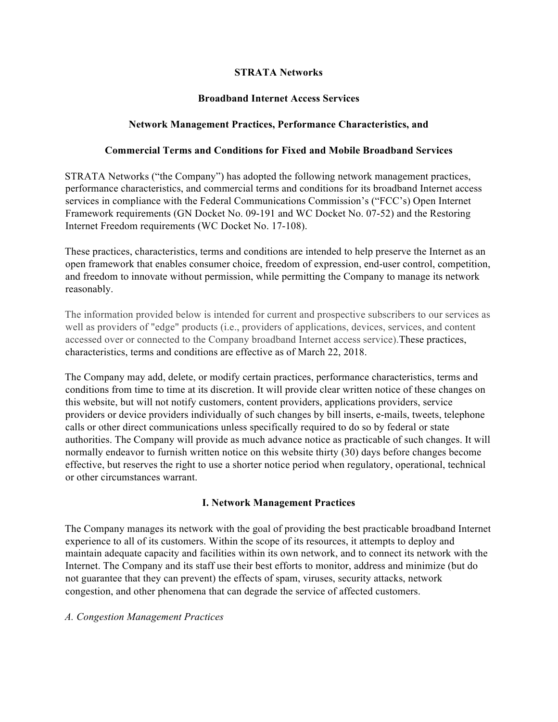## **STRATA Networks**

### **Broadband Internet Access Services**

#### **Network Management Practices, Performance Characteristics, and**

#### **Commercial Terms and Conditions for Fixed and Mobile Broadband Services**

STRATA Networks ("the Company") has adopted the following network management practices, performance characteristics, and commercial terms and conditions for its broadband Internet access services in compliance with the Federal Communications Commission's ("FCC's) Open Internet Framework requirements (GN Docket No. 09-191 and WC Docket No. 07-52) and the Restoring Internet Freedom requirements (WC Docket No. 17-108).

These practices, characteristics, terms and conditions are intended to help preserve the Internet as an open framework that enables consumer choice, freedom of expression, end-user control, competition, and freedom to innovate without permission, while permitting the Company to manage its network reasonably.

The information provided below is intended for current and prospective subscribers to our services as well as providers of "edge" products (i.e., providers of applications, devices, services, and content accessed over or connected to the Company broadband Internet access service).These practices, characteristics, terms and conditions are effective as of March 22, 2018.

The Company may add, delete, or modify certain practices, performance characteristics, terms and conditions from time to time at its discretion. It will provide clear written notice of these changes on this website, but will not notify customers, content providers, applications providers, service providers or device providers individually of such changes by bill inserts, e-mails, tweets, telephone calls or other direct communications unless specifically required to do so by federal or state authorities. The Company will provide as much advance notice as practicable of such changes. It will normally endeavor to furnish written notice on this website thirty (30) days before changes become effective, but reserves the right to use a shorter notice period when regulatory, operational, technical or other circumstances warrant.

#### **I. Network Management Practices**

The Company manages its network with the goal of providing the best practicable broadband Internet experience to all of its customers. Within the scope of its resources, it attempts to deploy and maintain adequate capacity and facilities within its own network, and to connect its network with the Internet. The Company and its staff use their best efforts to monitor, address and minimize (but do not guarantee that they can prevent) the effects of spam, viruses, security attacks, network congestion, and other phenomena that can degrade the service of affected customers.

#### *A. Congestion Management Practices*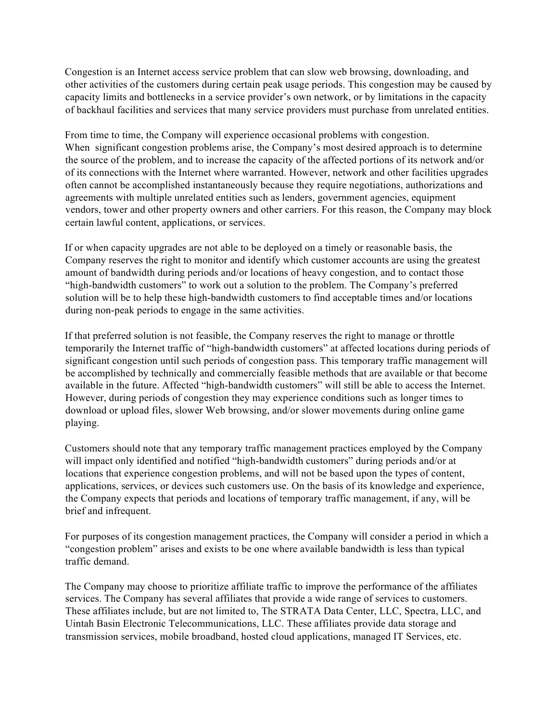Congestion is an Internet access service problem that can slow web browsing, downloading, and other activities of the customers during certain peak usage periods. This congestion may be caused by capacity limits and bottlenecks in a service provider's own network, or by limitations in the capacity of backhaul facilities and services that many service providers must purchase from unrelated entities.

From time to time, the Company will experience occasional problems with congestion. When significant congestion problems arise, the Company's most desired approach is to determine the source of the problem, and to increase the capacity of the affected portions of its network and/or of its connections with the Internet where warranted. However, network and other facilities upgrades often cannot be accomplished instantaneously because they require negotiations, authorizations and agreements with multiple unrelated entities such as lenders, government agencies, equipment vendors, tower and other property owners and other carriers. For this reason, the Company may block certain lawful content, applications, or services.

If or when capacity upgrades are not able to be deployed on a timely or reasonable basis, the Company reserves the right to monitor and identify which customer accounts are using the greatest amount of bandwidth during periods and/or locations of heavy congestion, and to contact those "high-bandwidth customers" to work out a solution to the problem. The Company's preferred solution will be to help these high-bandwidth customers to find acceptable times and/or locations during non-peak periods to engage in the same activities.

If that preferred solution is not feasible, the Company reserves the right to manage or throttle temporarily the Internet traffic of "high-bandwidth customers" at affected locations during periods of significant congestion until such periods of congestion pass. This temporary traffic management will be accomplished by technically and commercially feasible methods that are available or that become available in the future. Affected "high-bandwidth customers" will still be able to access the Internet. However, during periods of congestion they may experience conditions such as longer times to download or upload files, slower Web browsing, and/or slower movements during online game playing.

Customers should note that any temporary traffic management practices employed by the Company will impact only identified and notified "high-bandwidth customers" during periods and/or at locations that experience congestion problems, and will not be based upon the types of content, applications, services, or devices such customers use. On the basis of its knowledge and experience, the Company expects that periods and locations of temporary traffic management, if any, will be brief and infrequent.

For purposes of its congestion management practices, the Company will consider a period in which a "congestion problem" arises and exists to be one where available bandwidth is less than typical traffic demand.

The Company may choose to prioritize affiliate traffic to improve the performance of the affiliates services. The Company has several affiliates that provide a wide range of services to customers. These affiliates include, but are not limited to, The STRATA Data Center, LLC, Spectra, LLC, and Uintah Basin Electronic Telecommunications, LLC. These affiliates provide data storage and transmission services, mobile broadband, hosted cloud applications, managed IT Services, etc.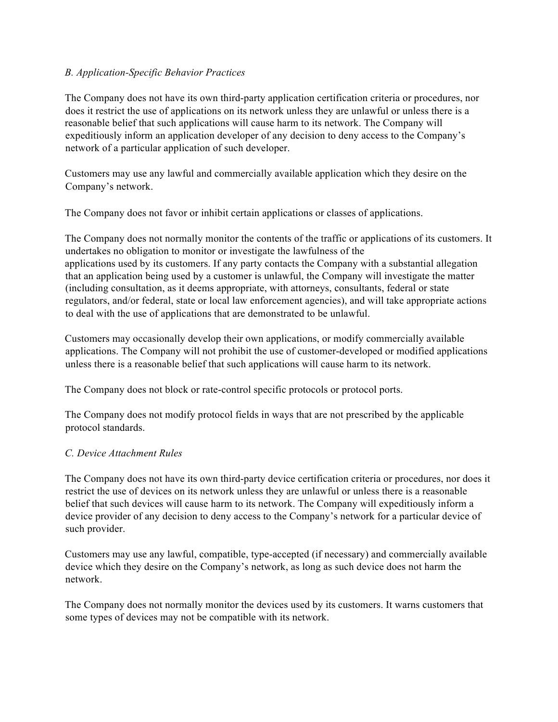### *B. Application-Specific Behavior Practices*

The Company does not have its own third-party application certification criteria or procedures, nor does it restrict the use of applications on its network unless they are unlawful or unless there is a reasonable belief that such applications will cause harm to its network. The Company will expeditiously inform an application developer of any decision to deny access to the Company's network of a particular application of such developer.

Customers may use any lawful and commercially available application which they desire on the Company's network.

The Company does not favor or inhibit certain applications or classes of applications.

The Company does not normally monitor the contents of the traffic or applications of its customers. It undertakes no obligation to monitor or investigate the lawfulness of the applications used by its customers. If any party contacts the Company with a substantial allegation that an application being used by a customer is unlawful, the Company will investigate the matter (including consultation, as it deems appropriate, with attorneys, consultants, federal or state regulators, and/or federal, state or local law enforcement agencies), and will take appropriate actions to deal with the use of applications that are demonstrated to be unlawful.

Customers may occasionally develop their own applications, or modify commercially available applications. The Company will not prohibit the use of customer-developed or modified applications unless there is a reasonable belief that such applications will cause harm to its network.

The Company does not block or rate-control specific protocols or protocol ports.

The Company does not modify protocol fields in ways that are not prescribed by the applicable protocol standards.

# *C. Device Attachment Rules*

The Company does not have its own third-party device certification criteria or procedures, nor does it restrict the use of devices on its network unless they are unlawful or unless there is a reasonable belief that such devices will cause harm to its network. The Company will expeditiously inform a device provider of any decision to deny access to the Company's network for a particular device of such provider.

Customers may use any lawful, compatible, type-accepted (if necessary) and commercially available device which they desire on the Company's network, as long as such device does not harm the network.

The Company does not normally monitor the devices used by its customers. It warns customers that some types of devices may not be compatible with its network.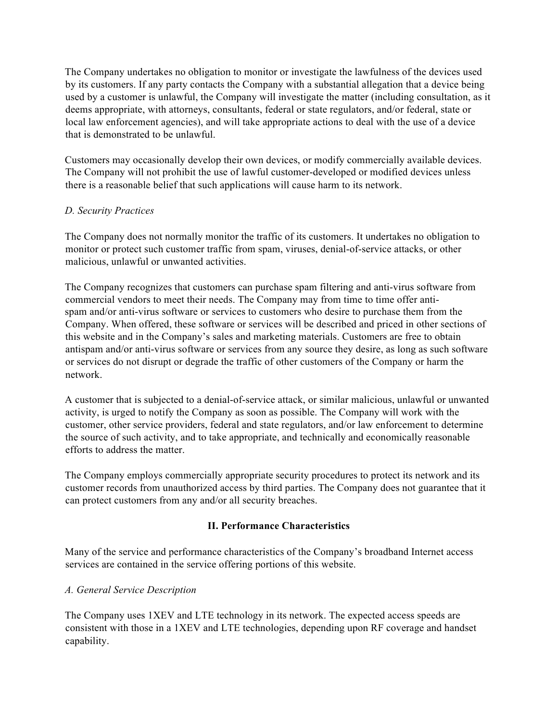The Company undertakes no obligation to monitor or investigate the lawfulness of the devices used by its customers. If any party contacts the Company with a substantial allegation that a device being used by a customer is unlawful, the Company will investigate the matter (including consultation, as it deems appropriate, with attorneys, consultants, federal or state regulators, and/or federal, state or local law enforcement agencies), and will take appropriate actions to deal with the use of a device that is demonstrated to be unlawful.

Customers may occasionally develop their own devices, or modify commercially available devices. The Company will not prohibit the use of lawful customer-developed or modified devices unless there is a reasonable belief that such applications will cause harm to its network.

# *D. Security Practices*

The Company does not normally monitor the traffic of its customers. It undertakes no obligation to monitor or protect such customer traffic from spam, viruses, denial-of-service attacks, or other malicious, unlawful or unwanted activities.

The Company recognizes that customers can purchase spam filtering and anti-virus software from commercial vendors to meet their needs. The Company may from time to time offer antispam and/or anti-virus software or services to customers who desire to purchase them from the Company. When offered, these software or services will be described and priced in other sections of this website and in the Company's sales and marketing materials. Customers are free to obtain antispam and/or anti-virus software or services from any source they desire, as long as such software or services do not disrupt or degrade the traffic of other customers of the Company or harm the network.

A customer that is subjected to a denial-of-service attack, or similar malicious, unlawful or unwanted activity, is urged to notify the Company as soon as possible. The Company will work with the customer, other service providers, federal and state regulators, and/or law enforcement to determine the source of such activity, and to take appropriate, and technically and economically reasonable efforts to address the matter.

The Company employs commercially appropriate security procedures to protect its network and its customer records from unauthorized access by third parties. The Company does not guarantee that it can protect customers from any and/or all security breaches.

# **II. Performance Characteristics**

Many of the service and performance characteristics of the Company's broadband Internet access services are contained in the service offering portions of this website.

### *A. General Service Description*

The Company uses 1XEV and LTE technology in its network. The expected access speeds are consistent with those in a 1XEV and LTE technologies, depending upon RF coverage and handset capability.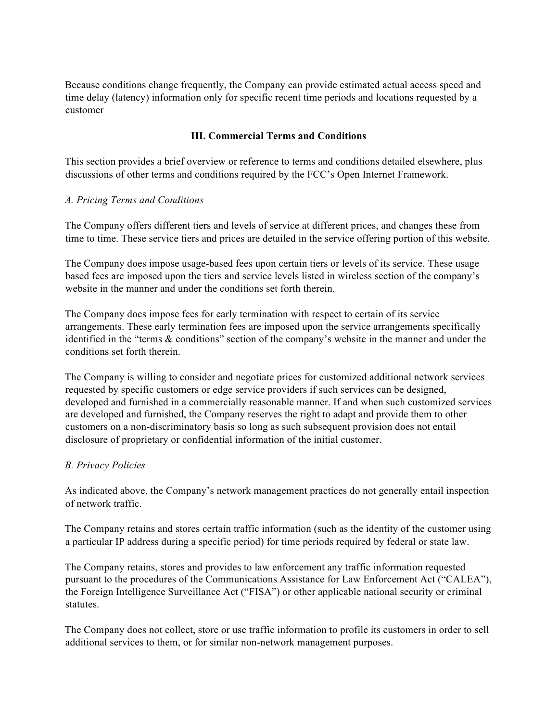Because conditions change frequently, the Company can provide estimated actual access speed and time delay (latency) information only for specific recent time periods and locations requested by a customer

# **III. Commercial Terms and Conditions**

This section provides a brief overview or reference to terms and conditions detailed elsewhere, plus discussions of other terms and conditions required by the FCC's Open Internet Framework.

#### *A. Pricing Terms and Conditions*

The Company offers different tiers and levels of service at different prices, and changes these from time to time. These service tiers and prices are detailed in the service offering portion of this website.

The Company does impose usage-based fees upon certain tiers or levels of its service. These usage based fees are imposed upon the tiers and service levels listed in wireless section of the company's website in the manner and under the conditions set forth therein.

The Company does impose fees for early termination with respect to certain of its service arrangements. These early termination fees are imposed upon the service arrangements specifically identified in the "terms & conditions" section of the company's website in the manner and under the conditions set forth therein.

The Company is willing to consider and negotiate prices for customized additional network services requested by specific customers or edge service providers if such services can be designed, developed and furnished in a commercially reasonable manner. If and when such customized services are developed and furnished, the Company reserves the right to adapt and provide them to other customers on a non-discriminatory basis so long as such subsequent provision does not entail disclosure of proprietary or confidential information of the initial customer.

### *B. Privacy Policies*

As indicated above, the Company's network management practices do not generally entail inspection of network traffic.

The Company retains and stores certain traffic information (such as the identity of the customer using a particular IP address during a specific period) for time periods required by federal or state law.

The Company retains, stores and provides to law enforcement any traffic information requested pursuant to the procedures of the Communications Assistance for Law Enforcement Act ("CALEA"), the Foreign Intelligence Surveillance Act ("FISA") or other applicable national security or criminal statutes.

The Company does not collect, store or use traffic information to profile its customers in order to sell additional services to them, or for similar non-network management purposes.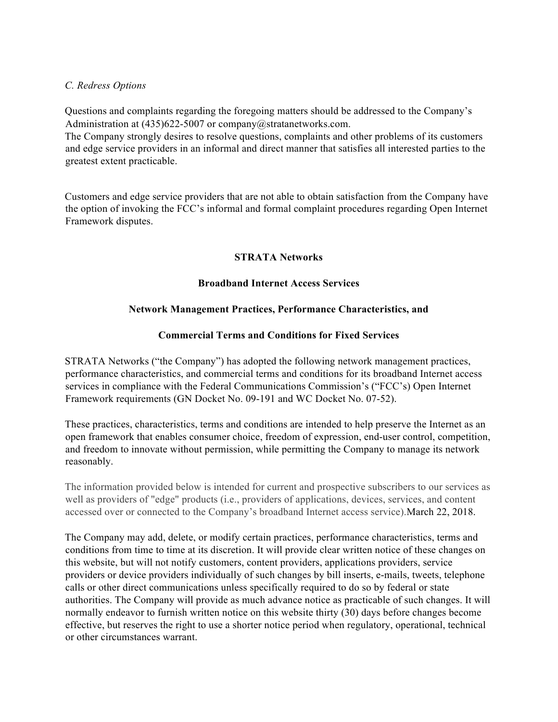## *C. Redress Options*

Questions and complaints regarding the foregoing matters should be addressed to the Company's Administration at (435)622-5007 or company@stratanetworks.com.

The Company strongly desires to resolve questions, complaints and other problems of its customers and edge service providers in an informal and direct manner that satisfies all interested parties to the greatest extent practicable.

Customers and edge service providers that are not able to obtain satisfaction from the Company have the option of invoking the FCC's informal and formal complaint procedures regarding Open Internet Framework disputes.

# **STRATA Networks**

# **Broadband Internet Access Services**

# **Network Management Practices, Performance Characteristics, and**

### **Commercial Terms and Conditions for Fixed Services**

STRATA Networks ("the Company") has adopted the following network management practices, performance characteristics, and commercial terms and conditions for its broadband Internet access services in compliance with the Federal Communications Commission's ("FCC's) Open Internet Framework requirements (GN Docket No. 09-191 and WC Docket No. 07-52).

These practices, characteristics, terms and conditions are intended to help preserve the Internet as an open framework that enables consumer choice, freedom of expression, end-user control, competition, and freedom to innovate without permission, while permitting the Company to manage its network reasonably.

The information provided below is intended for current and prospective subscribers to our services as well as providers of "edge" products (i.e., providers of applications, devices, services, and content accessed over or connected to the Company's broadband Internet access service).March 22, 2018.

The Company may add, delete, or modify certain practices, performance characteristics, terms and conditions from time to time at its discretion. It will provide clear written notice of these changes on this website, but will not notify customers, content providers, applications providers, service providers or device providers individually of such changes by bill inserts, e-mails, tweets, telephone calls or other direct communications unless specifically required to do so by federal or state authorities. The Company will provide as much advance notice as practicable of such changes. It will normally endeavor to furnish written notice on this website thirty (30) days before changes become effective, but reserves the right to use a shorter notice period when regulatory, operational, technical or other circumstances warrant.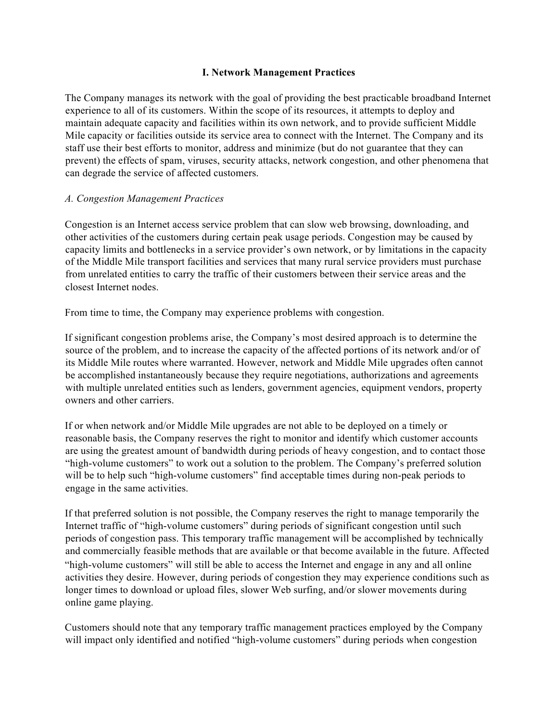### **I. Network Management Practices**

The Company manages its network with the goal of providing the best practicable broadband Internet experience to all of its customers. Within the scope of its resources, it attempts to deploy and maintain adequate capacity and facilities within its own network, and to provide sufficient Middle Mile capacity or facilities outside its service area to connect with the Internet. The Company and its staff use their best efforts to monitor, address and minimize (but do not guarantee that they can prevent) the effects of spam, viruses, security attacks, network congestion, and other phenomena that can degrade the service of affected customers.

### *A. Congestion Management Practices*

Congestion is an Internet access service problem that can slow web browsing, downloading, and other activities of the customers during certain peak usage periods. Congestion may be caused by capacity limits and bottlenecks in a service provider's own network, or by limitations in the capacity of the Middle Mile transport facilities and services that many rural service providers must purchase from unrelated entities to carry the traffic of their customers between their service areas and the closest Internet nodes.

From time to time, the Company may experience problems with congestion.

If significant congestion problems arise, the Company's most desired approach is to determine the source of the problem, and to increase the capacity of the affected portions of its network and/or of its Middle Mile routes where warranted. However, network and Middle Mile upgrades often cannot be accomplished instantaneously because they require negotiations, authorizations and agreements with multiple unrelated entities such as lenders, government agencies, equipment vendors, property owners and other carriers.

If or when network and/or Middle Mile upgrades are not able to be deployed on a timely or reasonable basis, the Company reserves the right to monitor and identify which customer accounts are using the greatest amount of bandwidth during periods of heavy congestion, and to contact those "high-volume customers" to work out a solution to the problem. The Company's preferred solution will be to help such "high-volume customers" find acceptable times during non-peak periods to engage in the same activities.

If that preferred solution is not possible, the Company reserves the right to manage temporarily the Internet traffic of "high-volume customers" during periods of significant congestion until such periods of congestion pass. This temporary traffic management will be accomplished by technically and commercially feasible methods that are available or that become available in the future. Affected "high-volume customers" will still be able to access the Internet and engage in any and all online activities they desire. However, during periods of congestion they may experience conditions such as longer times to download or upload files, slower Web surfing, and/or slower movements during online game playing.

Customers should note that any temporary traffic management practices employed by the Company will impact only identified and notified "high-volume customers" during periods when congestion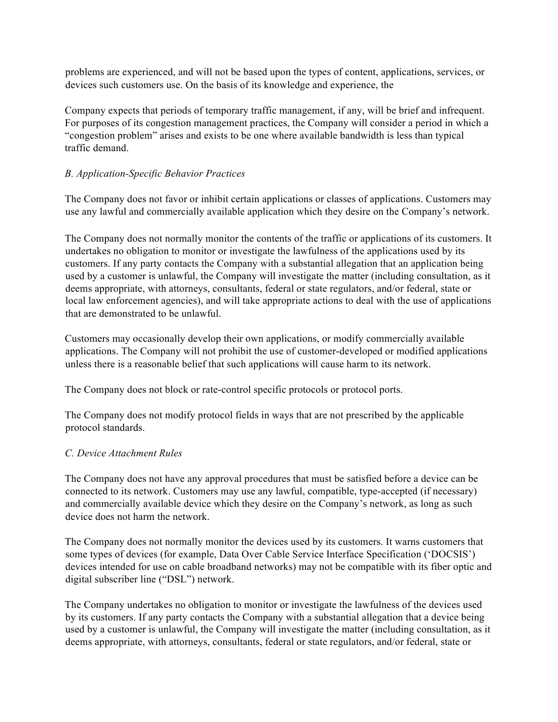problems are experienced, and will not be based upon the types of content, applications, services, or devices such customers use. On the basis of its knowledge and experience, the

Company expects that periods of temporary traffic management, if any, will be brief and infrequent. For purposes of its congestion management practices, the Company will consider a period in which a "congestion problem" arises and exists to be one where available bandwidth is less than typical traffic demand.

# *B. Application-Specific Behavior Practices*

The Company does not favor or inhibit certain applications or classes of applications. Customers may use any lawful and commercially available application which they desire on the Company's network.

The Company does not normally monitor the contents of the traffic or applications of its customers. It undertakes no obligation to monitor or investigate the lawfulness of the applications used by its customers. If any party contacts the Company with a substantial allegation that an application being used by a customer is unlawful, the Company will investigate the matter (including consultation, as it deems appropriate, with attorneys, consultants, federal or state regulators, and/or federal, state or local law enforcement agencies), and will take appropriate actions to deal with the use of applications that are demonstrated to be unlawful.

Customers may occasionally develop their own applications, or modify commercially available applications. The Company will not prohibit the use of customer-developed or modified applications unless there is a reasonable belief that such applications will cause harm to its network.

The Company does not block or rate-control specific protocols or protocol ports.

The Company does not modify protocol fields in ways that are not prescribed by the applicable protocol standards.

### *C. Device Attachment Rules*

The Company does not have any approval procedures that must be satisfied before a device can be connected to its network. Customers may use any lawful, compatible, type-accepted (if necessary) and commercially available device which they desire on the Company's network, as long as such device does not harm the network.

The Company does not normally monitor the devices used by its customers. It warns customers that some types of devices (for example, Data Over Cable Service Interface Specification ('DOCSIS') devices intended for use on cable broadband networks) may not be compatible with its fiber optic and digital subscriber line ("DSL") network.

The Company undertakes no obligation to monitor or investigate the lawfulness of the devices used by its customers. If any party contacts the Company with a substantial allegation that a device being used by a customer is unlawful, the Company will investigate the matter (including consultation, as it deems appropriate, with attorneys, consultants, federal or state regulators, and/or federal, state or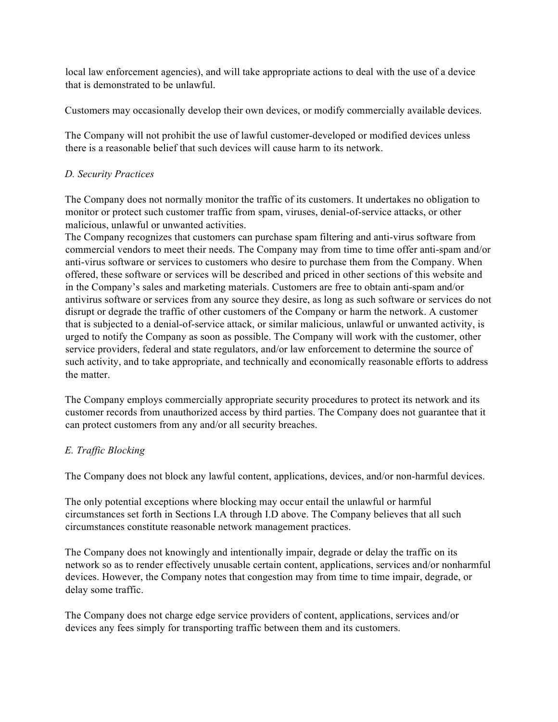local law enforcement agencies), and will take appropriate actions to deal with the use of a device that is demonstrated to be unlawful.

Customers may occasionally develop their own devices, or modify commercially available devices.

The Company will not prohibit the use of lawful customer-developed or modified devices unless there is a reasonable belief that such devices will cause harm to its network.

# *D. Security Practices*

The Company does not normally monitor the traffic of its customers. It undertakes no obligation to monitor or protect such customer traffic from spam, viruses, denial-of-service attacks, or other malicious, unlawful or unwanted activities.

The Company recognizes that customers can purchase spam filtering and anti-virus software from commercial vendors to meet their needs. The Company may from time to time offer anti-spam and/or anti-virus software or services to customers who desire to purchase them from the Company. When offered, these software or services will be described and priced in other sections of this website and in the Company's sales and marketing materials. Customers are free to obtain anti-spam and/or antivirus software or services from any source they desire, as long as such software or services do not disrupt or degrade the traffic of other customers of the Company or harm the network. A customer that is subjected to a denial-of-service attack, or similar malicious, unlawful or unwanted activity, is urged to notify the Company as soon as possible. The Company will work with the customer, other service providers, federal and state regulators, and/or law enforcement to determine the source of such activity, and to take appropriate, and technically and economically reasonable efforts to address the matter.

The Company employs commercially appropriate security procedures to protect its network and its customer records from unauthorized access by third parties. The Company does not guarantee that it can protect customers from any and/or all security breaches.

### *E. Traffic Blocking*

The Company does not block any lawful content, applications, devices, and/or non-harmful devices.

The only potential exceptions where blocking may occur entail the unlawful or harmful circumstances set forth in Sections I.A through I.D above. The Company believes that all such circumstances constitute reasonable network management practices.

The Company does not knowingly and intentionally impair, degrade or delay the traffic on its network so as to render effectively unusable certain content, applications, services and/or nonharmful devices. However, the Company notes that congestion may from time to time impair, degrade, or delay some traffic.

The Company does not charge edge service providers of content, applications, services and/or devices any fees simply for transporting traffic between them and its customers.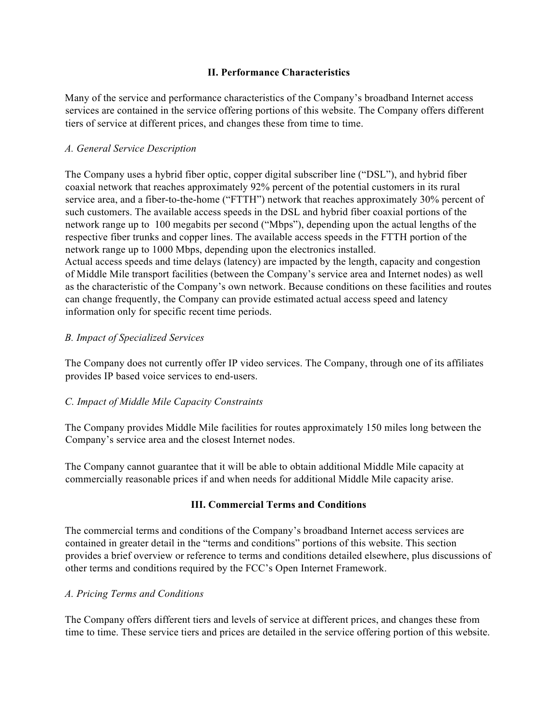# **II. Performance Characteristics**

Many of the service and performance characteristics of the Company's broadband Internet access services are contained in the service offering portions of this website. The Company offers different tiers of service at different prices, and changes these from time to time.

## *A. General Service Description*

The Company uses a hybrid fiber optic, copper digital subscriber line ("DSL"), and hybrid fiber coaxial network that reaches approximately 92% percent of the potential customers in its rural service area, and a fiber-to-the-home ("FTTH") network that reaches approximately 30% percent of such customers. The available access speeds in the DSL and hybrid fiber coaxial portions of the network range up to 100 megabits per second ("Mbps"), depending upon the actual lengths of the respective fiber trunks and copper lines. The available access speeds in the FTTH portion of the network range up to 1000 Mbps, depending upon the electronics installed. Actual access speeds and time delays (latency) are impacted by the length, capacity and congestion of Middle Mile transport facilities (between the Company's service area and Internet nodes) as well as the characteristic of the Company's own network. Because conditions on these facilities and routes can change frequently, the Company can provide estimated actual access speed and latency information only for specific recent time periods.

### *B. Impact of Specialized Services*

The Company does not currently offer IP video services. The Company, through one of its affiliates provides IP based voice services to end-users.

# *C. Impact of Middle Mile Capacity Constraints*

The Company provides Middle Mile facilities for routes approximately 150 miles long between the Company's service area and the closest Internet nodes.

The Company cannot guarantee that it will be able to obtain additional Middle Mile capacity at commercially reasonable prices if and when needs for additional Middle Mile capacity arise.

# **III. Commercial Terms and Conditions**

The commercial terms and conditions of the Company's broadband Internet access services are contained in greater detail in the "terms and conditions" portions of this website. This section provides a brief overview or reference to terms and conditions detailed elsewhere, plus discussions of other terms and conditions required by the FCC's Open Internet Framework.

### *A. Pricing Terms and Conditions*

The Company offers different tiers and levels of service at different prices, and changes these from time to time. These service tiers and prices are detailed in the service offering portion of this website.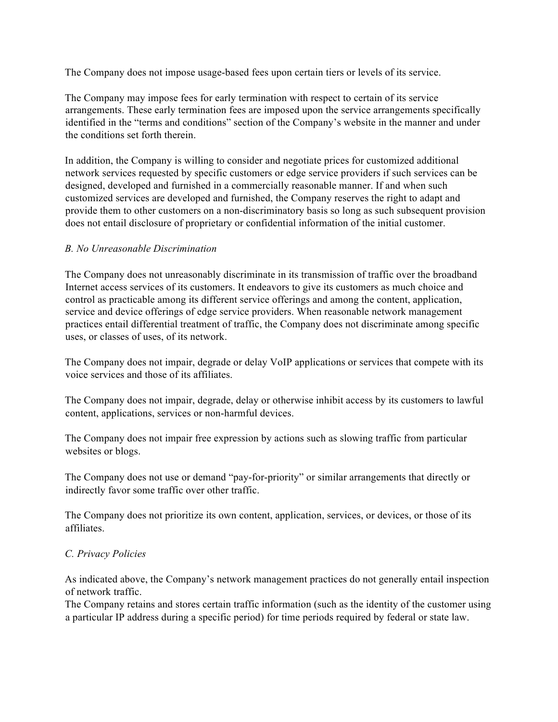The Company does not impose usage-based fees upon certain tiers or levels of its service.

The Company may impose fees for early termination with respect to certain of its service arrangements. These early termination fees are imposed upon the service arrangements specifically identified in the "terms and conditions" section of the Company's website in the manner and under the conditions set forth therein.

In addition, the Company is willing to consider and negotiate prices for customized additional network services requested by specific customers or edge service providers if such services can be designed, developed and furnished in a commercially reasonable manner. If and when such customized services are developed and furnished, the Company reserves the right to adapt and provide them to other customers on a non-discriminatory basis so long as such subsequent provision does not entail disclosure of proprietary or confidential information of the initial customer.

### *B. No Unreasonable Discrimination*

The Company does not unreasonably discriminate in its transmission of traffic over the broadband Internet access services of its customers. It endeavors to give its customers as much choice and control as practicable among its different service offerings and among the content, application, service and device offerings of edge service providers. When reasonable network management practices entail differential treatment of traffic, the Company does not discriminate among specific uses, or classes of uses, of its network.

The Company does not impair, degrade or delay VoIP applications or services that compete with its voice services and those of its affiliates.

The Company does not impair, degrade, delay or otherwise inhibit access by its customers to lawful content, applications, services or non-harmful devices.

The Company does not impair free expression by actions such as slowing traffic from particular websites or blogs.

The Company does not use or demand "pay-for-priority" or similar arrangements that directly or indirectly favor some traffic over other traffic.

The Company does not prioritize its own content, application, services, or devices, or those of its affiliates.

### *C. Privacy Policies*

As indicated above, the Company's network management practices do not generally entail inspection of network traffic.

The Company retains and stores certain traffic information (such as the identity of the customer using a particular IP address during a specific period) for time periods required by federal or state law.